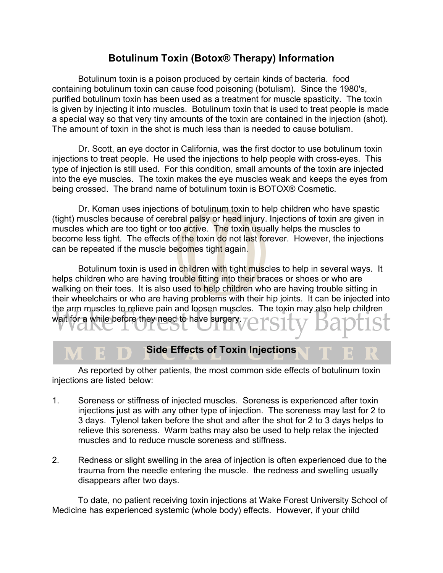## **Botulinum Toxin (Botox® Therapy) Information**

Botulinum toxin is a poison produced by certain kinds of bacteria. food containing botulinum toxin can cause food poisoning (botulism). Since the 1980's, purified botulinum toxin has been used as a treatment for muscle spasticity. The toxin is given by injecting it into muscles. Botulinum toxin that is used to treat people is made a special way so that very tiny amounts of the toxin are contained in the injection (shot). The amount of toxin in the shot is much less than is needed to cause botulism.

Dr. Scott, an eye doctor in California, was the first doctor to use botulinum toxin injections to treat people. He used the injections to help people with cross-eyes. This type of injection is still used. For this condition, small amounts of the toxin are injected into the eye muscles. The toxin makes the eye muscles weak and keeps the eyes from being crossed. The brand name of botulinum toxin is BOTOX® Cosmetic.

Dr. Koman uses injections of botulinum toxin to help children who have spastic (tight) muscles because of cerebral palsy or head injury. Injections of toxin are given in muscles which are too tight or too active. The toxin usually helps the muscles to become less tight. The effects of the toxin do not last forever. However, the injections can be repeated if the muscle becomes tight again.

Botulinum toxin is used in children with tight muscles to help in several ways. It helps children who are having trouble fitting into their braces or shoes or who are walking on their toes. It is also used to help children who are having trouble sitting in their wheelchairs or who are having problems with their hip joints. It can be injected into the arm muscles to relieve pain and loosen muscles. The toxin may also help children wait for a while before they need to have surgery.

## **Side Effects of Toxin Injections**

As reported by other patients, the most common side effects of botulinum toxin injections are listed below:

- 1. Soreness or stiffness of injected muscles. Soreness is experienced after toxin injections just as with any other type of injection. The soreness may last for 2 to 3 days. Tylenol taken before the shot and after the shot for 2 to 3 days helps to relieve this soreness. Warm baths may also be used to help relax the injected muscles and to reduce muscle soreness and stiffness.
- 2. Redness or slight swelling in the area of injection is often experienced due to the trauma from the needle entering the muscle. the redness and swelling usually disappears after two days.

To date, no patient receiving toxin injections at Wake Forest University School of Medicine has experienced systemic (whole body) effects. However, if your child